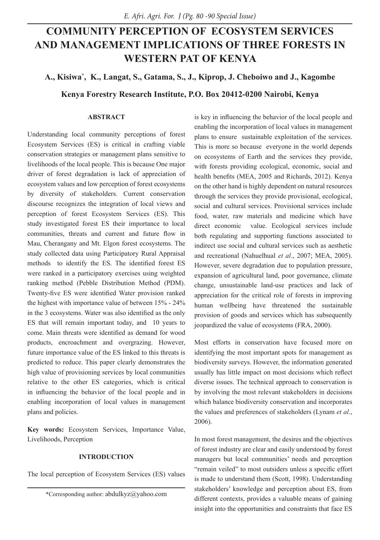# **COMMUNITY PERCEPTION OF ECOSYSTEM SERVICES AND MANAGEMENT IMPLICATIONS OF THREE FORESTS IN WESTERN PAT OF KENYA**

# **A., Kisiwa\* , K., Langat, S., Gatama, S., J., Kiprop, J. Cheboiwo and J., Kagombe**

**Kenya Forestry Research Institute, P.O. Box 20412-0200 Nairobi, Kenya**

#### **ABSTRACT**

Understanding local community perceptions of forest Ecosystem Services (ES) is critical in crafting viable conservation strategies or management plans sensitive to livelihoods of the local people. This is because One major driver of forest degradation is lack of appreciation of ecosystem values and low perception of forest ecosystems by diversity of stakeholders. Current conservation discourse recognizes the integration of local views and perception of forest Ecosystem Services (ES). This study investigated forest ES their importance to local communities, threats and current and future flow in Mau, Cherangany and Mt. Elgon forest ecosystems. The study collected data using Participatory Rural Appraisal methods to identify the ES. The identified forest ES were ranked in a participatory exercises using weighted ranking method (Pebble Distribution Method (PDM). Twenty-five ES were identified Water provision ranked the highest with importance value of between 15% - 24% in the 3 ecosystems. Water was also identified as the only ES that will remain important today, and 10 years to come. Main threats were identified as demand for wood products, encroachment and overgrazing. However, future importance value of the ES linked to this threats is predicted to reduce. This paper clearly demonstrates the high value of provisioning services by local communities relative to the other ES categories, which is critical in influencing the behavior of the local people and in enabling incorporation of local values in management plans and policies.

**Key words:** Ecosystem Services, Importance Value, Livelihoods, Perception

# **INTRODUCTION**

The local perception of Ecosystem Services (ES) values

is key in influencing the behavior of the local people and enabling the incorporation of local values in management plans to ensure sustainable exploitation of the services. This is more so because everyone in the world depends on ecosystems of Earth and the services they provide, with forests providing ecological, economic, social and health benefits (MEA, 2005 and Richards, 2012). Kenya on the other hand is highly dependent on natural resources through the services they provide provisional, ecological, social and cultural services. Provisional services include food, water, raw materials and medicine which have direct economic value. Ecological services include both regulating and supporting functions associated to indirect use social and cultural services such as aesthetic and recreational (Nahuelhual *et al*., 2007; MEA, 2005). However, severe degradation due to population pressure, expansion of agricultural land, poor governance, climate change, unsustainable land-use practices and lack of appreciation for the critical role of forests in improving human wellbeing have threatened the sustainable provision of goods and services which has subsequently jeopardized the value of ecosystems (FRA, 2000).

Most efforts in conservation have focused more on identifying the most important spots for management as biodiversity surveys. However, the information generated usually has little impact on most decisions which reflect diverse issues. The technical approach to conservation is by involving the most relevant stakeholders in decisions which balance biodiversity conservation and incorporates the values and preferences of stakeholders (Lynam *et al*., 2006).

In most forest management, the desires and the objectives of forest industry are clear and easily understood by forest managers but local communities' needs and perception "remain veiled" to most outsiders unless a specific effort is made to understand them (Scott, 1998). Understanding stakeholders' knowledge and perception about ES, from different contexts, provides a valuable means of gaining insight into the opportunities and constraints that face ES

<sup>\*</sup>Corresponding author: abdulkyz@yahoo.com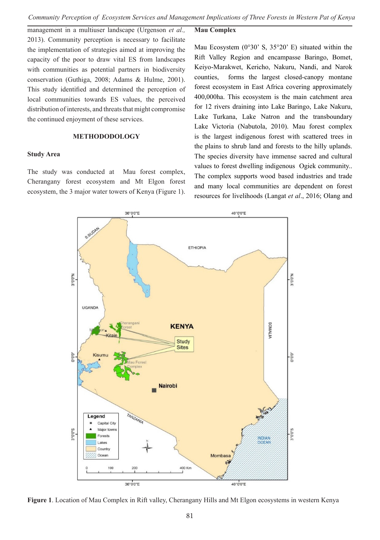management in a multiuser landscape (Urgenson *et al.,* 2013). Community perception is necessary to facilitate the implementation of strategies aimed at improving the capacity of the poor to draw vital ES from landscapes with communities as potential partners in biodiversity conservation (Guthiga, 2008; Adams & Hulme, 2001). This study identified and determined the perception of local communities towards ES values, the perceived distribution of interests, and threats that might compromise the continued enjoyment of these services.

# **METHODODOLOGY**

#### **Study Area**

The study was conducted at Mau forest complex, Cherangany forest ecosystem and Mt Elgon forest ecosystem, the 3 major water towers of Kenya (Figure 1).

# **Mau Complex**

Mau Ecosystem ( $0°30'$  S,  $35°20'$  E) situated within the Rift Valley Region and encampasse Baringo, Bomet, Keiyo-Marakwet, Kericho, Nakuru, Nandi, and Narok counties, forms the largest closed-canopy montane forest ecosystem in East Africa covering approximately 400,000ha. This ecosystem is the main catchment area for 12 rivers draining into Lake Baringo, Lake Nakuru, Lake Turkana, Lake Natron and the transboundary Lake Victoria (Nabutola, 2010). Mau forest complex is the largest indigenous forest with scattered trees in the plains to shrub land and forests to the hilly uplands. The species diversity have immense sacred and cultural values to forest dwelling indigenous Ogiek community.. The complex supports wood based industries and trade and many local communities are dependent on forest resources for livelihoods (Langat *et al*., 2016; Olang and



**Figure 1**. Location of Mau Complex in Rift valley, Cherangany Hills and Mt Elgon ecosystems in western Kenya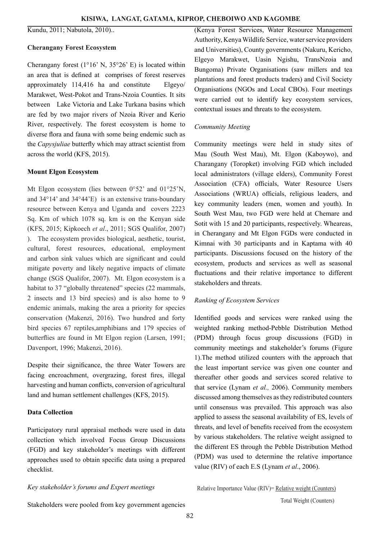Kundu, 2011; Nabutola, 2010)..

# **Cherangany Forest Ecosystem**

Cherangany forest  $(1^{\circ}16^{\circ} N, 35^{\circ}26^{\circ} E)$  is located within an area that is defined at comprises of forest reserves approximately 114,416 ha and constitute Elgeyo/ Marakwet, West-Pokot and Trans-Nzoia Counties. It sits between Lake Victoria and Lake Turkana basins which are fed by two major rivers of Nzoia River and Kerio River, respectively. The forest ecosystem is home to diverse flora and fauna with some being endemic such as the *Capysjuliae* butterfly which may attract scientist from across the world (KFS, 2015).

#### **Mount Elgon Ecosystem**

Mt Elgon ecosystem (lies between 0°52' and 01°25'N, and 34°14' and 34°44'E) is an extensive trans-boundary resource between Kenya and Uganda and covers 2223 Sq. Km of which 1078 sq. km is on the Kenyan side (KFS, 2015; Kipkoech *et al*., 2011; SGS Qualifor, 2007) ). The ecosystem provides biological, aesthetic, tourist, cultural, forest resources, educational, employment and carbon sink values which are significant and could mitigate poverty and likely negative impacts of climate change (SGS Qualifor, 2007). Mt. Elgon ecosystem is a habitat to 37 "globally threatened" species (22 mammals, 2 insects and 13 bird species) and is also home to 9 endemic animals, making the area a priority for species conservation (Makenzi, 2016). Two hundred and forty bird species 67 reptiles,amphibians and 179 species of butterflies are found in Mt Elgon region (Larsen, 1991; Davenport, 1996; Makenzi, 2016).

Despite their significance, the three Water Towers are facing encroachment, overgrazing, forest fires, illegal harvesting and human conflicts, conversion of agricultural land and human settlement challenges (KFS, 2015).

# **Data Collection**

Participatory rural appraisal methods were used in data collection which involved Focus Group Discussions (FGD) and key stakeholder's meetings with different approaches used to obtain specific data using a prepared checklist.

*Key stakeholder's forums and Expert meetings*

(Kenya Forest Services, Water Resource Management Authority, Kenya Wildlife Service, water service providers and Universities), County governments (Nakuru, Kericho, Elgeyo Marakwet, Uasin Ngishu, TransNzoia and Bungoma) Private Organisations (saw millers and tea plantations and forest products traders) and Civil Society Organisations (NGOs and Local CBOs). Four meetings were carried out to identify key ecosystem services, contextual issues and threats to the ecosystem.

#### *Community Meeting*

Community meetings were held in study sites of Mau (South West Mau), Mt. Elgon (Kaboywo), and Charangany (Toropket) involving FGD which included local administrators (village elders), Community Forest Association (CFA) officials, Water Resource Users Associations (WRUA) officials, religious leaders, and key community leaders (men, women and youth). In South West Mau, two FGD were held at Chemare and Sotit with 15 and 20 participants, respectively. Wheareas, in Cherangany and Mt Elgon FGDs were conducted in Kimnai with 30 participants and in Kaptama with 40 participants. Discussions focused on the history of the ecosystem, products and services as well as seasonal fluctuations and their relative importance to different stakeholders and threats.

#### *Ranking of Ecosystem Services*

Identified goods and services were ranked using the weighted ranking method-Pebble Distribution Method (PDM) through focus group discussions (FGD) in community meetings and stakeholder's forums (Figure 1).The method utilized counters with the approach that the least important service was given one counter and thereafter other goods and services scored relative to that service (Lynam *et al.,* 2006). Community members discussed among themselves as they redistributed counters until consensus was prevailed. This approach was also applied to assess the seasonal availability of ES, levels of threats, and level of benefits received from the ecosystem by various stakeholders. The relative weight assigned to the different ES through the Pebble Distribution Method (PDM) was used to determine the relative importance value (RIV) of each E.S (Lynam *et al*., 2006).

Relative Importance Value (RIV)= Relative weight (Counters)

Stakeholders were pooled from key government agencies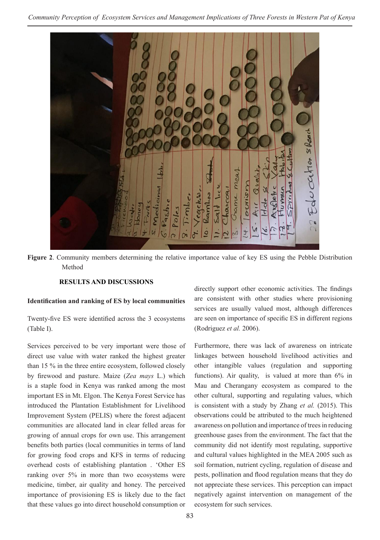

**Figure 2**. Community members determining the relative importance value of key ES using the Pebble Distribution Method

# **RESULTS AND DISCUSSIONS**

#### **Identification and ranking of ES by local communities**

Twenty-five ES were identified across the 3 ecosystems (Table I).

Services perceived to be very important were those of direct use value with water ranked the highest greater than 15 % in the three entire ecosystem, followed closely by firewood and pasture. Maize (*Zea mays* L.) which is a staple food in Kenya was ranked among the most important ES in Mt. Elgon. The Kenya Forest Service has introduced the Plantation Establishment for Livelihood Improvement System (PELIS) where the forest adjacent communities are allocated land in clear felled areas for growing of annual crops for own use. This arrangement benefits both parties (local communities in terms of land for growing food crops and KFS in terms of reducing overhead costs of establishing plantation . 'Other ES ranking over 5% in more than two ecosystems were medicine, timber, air quality and honey. The perceived importance of provisioning ES is likely due to the fact that these values go into direct household consumption or

directly support other economic activities. The findings are consistent with other studies where provisioning services are usually valued most, although differences are seen on importance of specific ES in different regions (Rodriguez *et al.* 2006).

Furthermore, there was lack of awareness on intricate linkages between household livelihood activities and other intangible values (regulation and supporting functions). Air quality, is valued at more than 6% in Mau and Cherangany ecosystem as compared to the other cultural, supporting and regulating values, which is consistent with a study by Zhang *et al.* (2015). This observations could be attributed to the much heightened awareness on pollution and importance of trees in reducing greenhouse gases from the environment. The fact that the community did not identify most regulating, supportive and cultural values highlighted in the MEA 2005 such as soil formation, nutrient cycling, regulation of disease and pests, pollination and flood regulation means that they do not appreciate these services. This perception can impact negatively against intervention on management of the ecosystem for such services.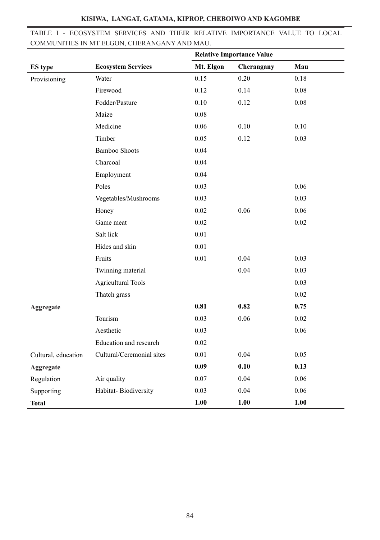|                                              |  |  | TABLE I - ECOSYSTEM SERVICES AND THEIR RELATIVE IMPORTANCE VALUE TO LOCAL |  |  |
|----------------------------------------------|--|--|---------------------------------------------------------------------------|--|--|
| COMMUNITIES IN MT ELGON, CHERANGANY AND MAU. |  |  |                                                                           |  |  |

|                     |                           | <b>Relative Importance Value</b> |            |          |
|---------------------|---------------------------|----------------------------------|------------|----------|
| ES type             | <b>Ecosystem Services</b> | Mt. Elgon                        | Cherangany | Mau      |
| Provisioning        | Water                     | 0.15                             | 0.20       | 0.18     |
|                     | Firewood                  | 0.12                             | 0.14       | 0.08     |
|                     | Fodder/Pasture            | 0.10                             | 0.12       | $0.08\,$ |
|                     | Maize                     | 0.08                             |            |          |
|                     | Medicine                  | 0.06                             | 0.10       | 0.10     |
|                     | Timber                    | 0.05                             | 0.12       | 0.03     |
|                     | <b>Bamboo Shoots</b>      | 0.04                             |            |          |
|                     | Charcoal                  | 0.04                             |            |          |
|                     | Employment                | 0.04                             |            |          |
|                     | Poles                     | 0.03                             |            | 0.06     |
|                     | Vegetables/Mushrooms      | 0.03                             |            | 0.03     |
|                     | Honey                     | 0.02                             | 0.06       | 0.06     |
|                     | Game meat                 | 0.02                             |            | $0.02\,$ |
|                     | Salt lick                 | 0.01                             |            |          |
|                     | Hides and skin            | 0.01                             |            |          |
|                     | Fruits                    | 0.01                             | 0.04       | 0.03     |
|                     | Twinning material         |                                  | 0.04       | 0.03     |
|                     | <b>Agricultural Tools</b> |                                  |            | 0.03     |
|                     | Thatch grass              |                                  |            | 0.02     |
| Aggregate           |                           | 0.81                             | 0.82       | 0.75     |
|                     | Tourism                   | 0.03                             | 0.06       | 0.02     |
|                     | Aesthetic                 | 0.03                             |            | 0.06     |
|                     | Education and research    | 0.02                             |            |          |
| Cultural, education | Cultural/Ceremonial sites | 0.01                             | 0.04       | 0.05     |
| Aggregate           |                           | 0.09                             | 0.10       | 0.13     |
| Regulation          | Air quality               | 0.07                             | 0.04       | 0.06     |
| Supporting          | Habitat-Biodiversity      | 0.03                             | 0.04       | 0.06     |
| <b>Total</b>        |                           | 1.00                             | 1.00       | 1.00     |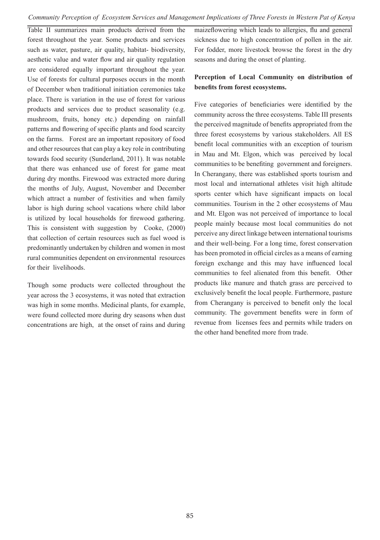*Community Perception of Ecosystem Services and Management Implications of Three Forests in Western Pat of Kenya* 

Table II summarizes main products derived from the forest throughout the year. Some products and services such as water, pasture, air quality, habitat- biodiversity, aesthetic value and water flow and air quality regulation are considered equally important throughout the year. Use of forests for cultural purposes occurs in the month of December when traditional initiation ceremonies take place. There is variation in the use of forest for various products and services due to product seasonality (e.g. mushroom, fruits, honey etc.) depending on rainfall patterns and flowering of specific plants and food scarcity on the farms. Forest are an important repository of food and other resources that can play a key role in contributing towards food security (Sunderland, 2011). It was notable that there was enhanced use of forest for game meat during dry months. Firewood was extracted more during the months of July, August, November and December which attract a number of festivities and when family labor is high during school vacations where child labor is utilized by local households for firewood gathering. This is consistent with suggestion by Cooke, (2000) that collection of certain resources such as fuel wood is predominantly undertaken by children and women in most rural communities dependent on environmental resources for their livelihoods.

Though some products were collected throughout the year across the 3 ecosystems, it was noted that extraction was high in some months. Medicinal plants, for example, were found collected more during dry seasons when dust concentrations are high, at the onset of rains and during maizeflowering which leads to allergies, flu and general sickness due to high concentration of pollen in the air. For fodder, more livestock browse the forest in the dry seasons and during the onset of planting.

# **Perception of Local Community on distribution of benefits from forest ecosystems.**

Five categories of beneficiaries were identified by the community across the three ecosystems. Table III presents the perceived magnitude of benefits appropriated from the three forest ecosystems by various stakeholders. All ES benefit local communities with an exception of tourism in Mau and Mt. Elgon, which was perceived by local communities to be benefiting government and foreigners. In Cherangany, there was established sports tourism and most local and international athletes visit high altitude sports center which have significant impacts on local communities. Tourism in the 2 other ecosystems of Mau and Mt. Elgon was not perceived of importance to local people mainly because most local communities do not perceive any direct linkage between international tourisms and their well-being. For a long time, forest conservation has been promoted in official circles as a means of earning foreign exchange and this may have influenced local communities to feel alienated from this benefit. Other products like manure and thatch grass are perceived to exclusively benefit the local people. Furthermore, pasture from Cherangany is perceived to benefit only the local community. The government benefits were in form of revenue from licenses fees and permits while traders on the other hand benefited more from trade.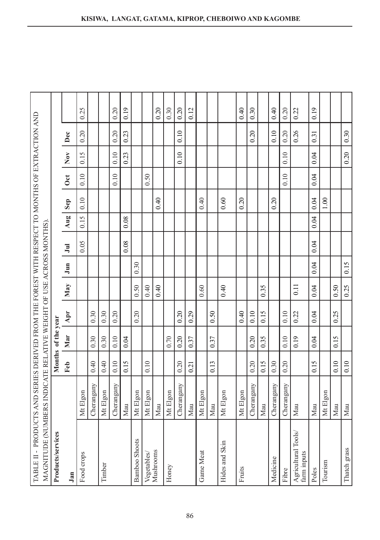| TABLE II - PRODUCTS AND SERIES DERIVED FROM THE FOREST WITH RESPECT TO MONTHS OF EXTRACTION AND |            |      |                    |      |      |      |                          |      |                |            |      |      |      |
|-------------------------------------------------------------------------------------------------|------------|------|--------------------|------|------|------|--------------------------|------|----------------|------------|------|------|------|
| MAGNITUDE (NUMBERS INDICATE RELATIVE WEIGHT OF USE ACROSS MONTHS).                              |            |      |                    |      |      |      |                          |      |                |            |      |      |      |
| Products/services                                                                               |            |      | Months of the year |      |      |      |                          |      |                |            |      |      |      |
| Jan                                                                                             |            | Feb  | Mar                | Apr  | May  | Jum  | $\overline{\phantom{a}}$ | Aug  | Sep            | <b>Oct</b> | Nov  | Dec  |      |
| Food crops                                                                                      | Mt Elgon   |      |                    |      |      |      | 0.05                     | 0.15 | 0.10           | 0.10       | 0.15 | 0.20 | 0.25 |
|                                                                                                 | Cherangany | 0.40 | 0.30               | 0.30 |      |      |                          |      |                |            |      |      |      |
| Timber                                                                                          | Mt Elgon   | 0.40 | 0.30               | 0.30 |      |      |                          |      |                |            |      |      |      |
|                                                                                                 | Cherangany | 0.10 | 0.10               | 0.20 |      |      |                          |      |                | 0.10       | 0.10 | 0.20 | 0.20 |
|                                                                                                 | Mau        | 0.15 | 0.04               |      |      |      | 0.08                     | 0.08 |                |            | 0.23 | 0.23 | 0.19 |
| <b>Bamboo Shoots</b>                                                                            | Mt Elgon   |      |                    | 0.20 | 0.50 | 0.30 |                          |      |                |            |      |      |      |
| Vegetables/                                                                                     | Mt Elgon   | 0.10 |                    |      | 0.40 |      |                          |      |                | 0.50       |      |      |      |
| Mushrooms                                                                                       | Mau        |      |                    |      | 0.40 |      |                          |      | 0.40           |            |      |      | 0.20 |
| Honey                                                                                           | Mt Elgon   |      | 0.70               |      |      |      |                          |      |                |            |      |      | 0.30 |
|                                                                                                 | Cherangany | 0.20 | 0.20               | 0.20 |      |      |                          |      |                |            | 0.10 | 0.10 | 0.20 |
|                                                                                                 | Mau        | 0.21 | 0.37               | 0.29 |      |      |                          |      |                |            |      |      | 0.12 |
| Game Meat                                                                                       | Mt Elgon   |      |                    |      | 0.60 |      |                          |      | 0.40           |            |      |      |      |
|                                                                                                 | Mau        | 0.13 | 0.37               | 0.50 |      |      |                          |      |                |            |      |      |      |
| Hides and Skin                                                                                  | Mt Elgon   |      |                    |      | 0.40 |      |                          |      | 0.60           |            |      |      |      |
| Fruits                                                                                          | Mt Elgon   |      |                    | 0.40 |      |      |                          |      | 0.20           |            |      |      | 0.40 |
|                                                                                                 | Cherangany | 0.20 | 0.20               | 0.10 |      |      |                          |      |                |            |      | 0.20 | 0.30 |
|                                                                                                 | Mau        | 0.15 | 0.35               | 0.15 | 0.35 |      |                          |      |                |            |      |      |      |
| Medicine                                                                                        | Cherangany | 0.30 |                    |      |      |      |                          |      | 0.20           |            |      | 0.10 | 0.40 |
| Fibre                                                                                           | Cherangany | 0.20 | 0.10               | 0.10 |      |      |                          |      |                | 0.10       | 0.10 | 0.20 | 0.20 |
| Agricultural Tools/<br>farm inputs                                                              | Mau        |      | 0.19               | 0.22 | 0.11 |      |                          |      |                |            |      | 0.26 | 0.22 |
| Poles                                                                                           | Mau        | 0.15 | 0.04               | 0.04 | 0.04 | 0.04 | 0.04                     | 0.04 | 0.04           | 0.04       | 0.04 | 0.31 | 0.19 |
| Tourism                                                                                         | Mt Elgon   |      |                    |      |      |      |                          |      | $\frac{8}{10}$ |            |      |      |      |
|                                                                                                 | Mau        | 0.10 | 0.15               | 0.25 | 0.50 |      |                          |      |                |            |      |      |      |
| Thatch grass                                                                                    | Mau        | 0.10 |                    |      | 0.25 | 0.15 |                          |      |                |            | 0.20 | 0.30 |      |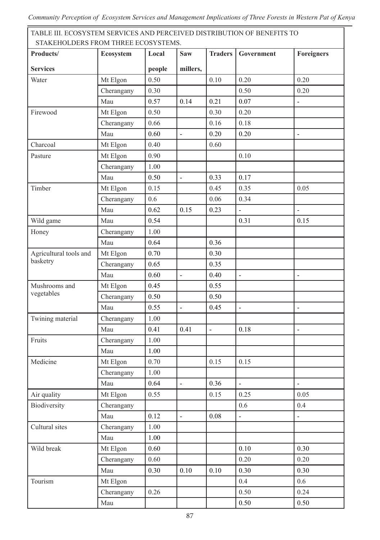*Community Perception of Ecosystem Services and Management Implications of Three Forests in Western Pat of Kenya* 

TABLE III. ECOSYSTEM SERVICES AND PERCEIVED DISTRIBUTION OF BENEFITS TO STAKEHOLDERS FROM THREE ECOSYSTEMS.

| STANEHOLDENS FNORFTHNEE ECOST STERIS.<br>Products/ | Ecosystem  | Local  | Saw            | <b>Traders</b>           | Government               | <b>Foreigners</b>        |
|----------------------------------------------------|------------|--------|----------------|--------------------------|--------------------------|--------------------------|
| <b>Services</b>                                    |            | people | millers,       |                          |                          |                          |
| Water                                              | Mt Elgon   | 0.50   |                | 0.10                     | 0.20                     | 0.20                     |
|                                                    | Cherangany | 0.30   |                |                          | 0.50                     | 0.20                     |
|                                                    | Mau        | 0.57   | 0.14           | 0.21                     | 0.07                     | $\overline{a}$           |
| Firewood                                           | Mt Elgon   | 0.50   |                | 0.30                     | 0.20                     |                          |
|                                                    | Cherangany | 0.66   |                | 0.16                     | 0.18                     |                          |
|                                                    | Mau        | 0.60   | $\overline{a}$ | 0.20                     | 0.20                     | $\overline{\phantom{a}}$ |
| Charcoal                                           | Mt Elgon   | 0.40   |                | 0.60                     |                          |                          |
| Pasture                                            | Mt Elgon   | 0.90   |                |                          | 0.10                     |                          |
|                                                    | Cherangany | 1.00   |                |                          |                          |                          |
|                                                    | Mau        | 0.50   | $\frac{1}{2}$  | 0.33                     | 0.17                     |                          |
| Timber                                             | Mt Elgon   | 0.15   |                | 0.45                     | 0.35                     | 0.05                     |
|                                                    | Cherangany | 0.6    |                | 0.06                     | 0.34                     |                          |
|                                                    | Mau        | 0.62   | 0.15           | 0.23                     | $\blacksquare$           | $\blacksquare$           |
| Wild game                                          | Mau        | 0.54   |                |                          | 0.31                     | 0.15                     |
| Honey                                              | Cherangany | 1.00   |                |                          |                          |                          |
|                                                    | Mau        | 0.64   |                | 0.36                     |                          |                          |
| Agricultural tools and                             | Mt Elgon   | 0.70   |                | 0.30                     |                          |                          |
| basketry                                           | Cherangany | 0.65   |                | 0.35                     |                          |                          |
|                                                    | Mau        | 0.60   | $\frac{1}{2}$  | 0.40                     | $\overline{\phantom{a}}$ | $\overline{a}$           |
| Mushrooms and                                      | Mt Elgon   | 0.45   |                | 0.55                     |                          |                          |
| vegetables                                         | Cherangany | 0.50   |                | 0.50                     |                          |                          |
|                                                    | Mau        | 0.55   | $\overline{a}$ | 0.45                     | $\overline{\phantom{a}}$ | $\overline{\phantom{a}}$ |
| Twining material                                   | Cherangany | 1.00   |                |                          |                          |                          |
|                                                    | Mau        | 0.41   | 0.41           | $\overline{\phantom{a}}$ | 0.18                     | $\overline{\phantom{a}}$ |
| Fruits                                             | Cherangany | 1.00   |                |                          |                          |                          |
|                                                    | Mau        | 1.00   |                |                          |                          |                          |
| Medicine                                           | Mt Elgon   | 0.70   |                | 0.15                     | 0.15                     |                          |
|                                                    | Cherangany | 1.00   |                |                          |                          |                          |
|                                                    | Mau        | 0.64   |                | 0.36                     | $\overline{\phantom{a}}$ |                          |
| Air quality                                        | Mt Elgon   | 0.55   |                | 0.15                     | 0.25                     | 0.05                     |
| Biodiversity                                       | Cherangany |        |                |                          | 0.6                      | 0.4                      |
|                                                    | Mau        | 0.12   | $\blacksquare$ | 0.08                     | $\blacksquare$           | $\blacksquare$           |
| Cultural sites                                     | Cherangany | 1.00   |                |                          |                          |                          |
|                                                    | Mau        | 1.00   |                |                          |                          |                          |
| Wild break                                         | Mt Elgon   | 0.60   |                |                          | 0.10                     | 0.30                     |
|                                                    | Cherangany | 0.60   |                |                          | 0.20                     | 0.20                     |
|                                                    | Mau        | 0.30   | 0.10           | 0.10                     | 0.30                     | 0.30                     |
| Tourism                                            | Mt Elgon   |        |                |                          | $0.4\,$                  | 0.6                      |
|                                                    | Cherangany | 0.26   |                |                          | 0.50                     | 0.24                     |
|                                                    | Mau        |        |                |                          | 0.50                     | 0.50                     |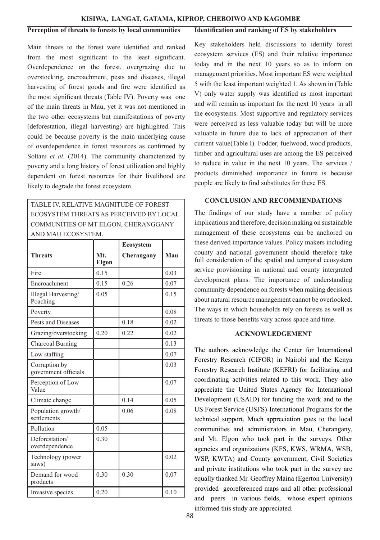#### **Perception of threats to forests by local communities**

Main threats to the forest were identified and ranked from the most significant to the least significant. Overdependence on the forest, overgrazing due to overstocking, encroachment, pests and diseases, illegal harvesting of forest goods and fire were identified as the most significant threats (Table IV). Poverty was one of the main threats in Mau, yet it was not mentioned in the two other ecosystems but manifestations of poverty (deforestation, illegal harvesting) are highlighted. This could be because poverty is the main underlying cause of overdependence in forest resources as confirmed by Soltani *et al.* (2014). The community characterized by poverty and a long history of forest utilization and highly dependent on forest resources for their livelihood are likely to degrade the forest ecosystem.

TABLE IV. RELATIVE MAGNITUDE OF FOREST ECOSYSTEM THREATS AS PERCEIVED BY LOCAL COMMUNITIES OF MT ELGON, CHERANGGANY AND MAU ECOSYSTEM.

|                                       |              | Ecosystem  |      |
|---------------------------------------|--------------|------------|------|
| <b>Threats</b>                        | Mt.<br>Elgon | Cherangany | Mau  |
| Fire                                  | 0.15         |            | 0.03 |
| Encroachment                          | 0.15         | 0.26       | 0.07 |
| Illegal Harvesting/<br>Poaching       | 0.05         |            | 0.15 |
| Poverty                               |              |            | 0.08 |
| Pests and Diseases                    |              | 0.18       | 0.02 |
| Grazing/overstocking                  | 0.20         | 0.22       | 0.02 |
| Charcoal Burning                      |              |            | 0.13 |
| Low staffing                          |              |            | 0.07 |
| Corruption by<br>government officials |              |            | 0.03 |
| Perception of Low<br>Value            |              |            | 0.07 |
| Climate change                        |              | 0.14       | 0.05 |
| Population growth/<br>settlements     |              | 0.06       | 0.08 |
| Pollution                             | 0.05         |            |      |
| Deforestation/<br>overdependence      | 0.30         |            |      |
| Technology (power<br>saws)            |              |            | 0.02 |
| Demand for wood<br>products           | 0.30         | 0.30       | 0.07 |
| Invasive species                      | 0.20         |            | 0.10 |
|                                       |              |            |      |

#### **Identification and ranking of ES by stakeholders**

Key stakeholders held discussions to identify forest ecosystem services (ES) and their relative importance today and in the next 10 years so as to inform on management priorities. Most important ES were weighted 5 with the least important weighted 1. As shown in (Table V) only water supply was identified as most important and will remain as important for the next 10 years in all the ecosystems. Most supportive and regulatory services were perceived as less valuable today but will be more valuable in future due to lack of appreciation of their current value(Table I). Fodder, fuelwood, wood products, timber and agricultural uses are among the ES perceived to reduce in value in the next 10 years. The services / products diminished importance in future is because people are likely to find substitutes for these ES.

## **CONCLUSION AND RECOMMENDATIONS**

The findings of our study have a number of policy implications and therefore, decision making on sustainable management of these ecosystems can be anchored on these derived importance values. Policy makers including county and national government should therefore take full consideration of the spatial and temporal ecosystem service provisioning in national and county intergrated development plans. The importance of understanding community dependence on forests when making decisions about natural resource management cannot be overlooked. The ways in which households rely on forests as well as threats to those benefits vary across space and time.

## **ACKNOWLEDGEMENT**

The authors acknowledge the Center for International Forestry Research (CIFOR) in Nairobi and the Kenya Forestry Research Institute (KEFRI) for facilitating and coordinating activities related to this work. They also appreciate the United States Agency for International Development (USAID) for funding the work and to the US Forest Service (USFS)-International Programs for the technical support. Much appreciation goes to the local communities and administrators in Mau, Cherangany, and Mt. Elgon who took part in the surveys. Other agencies and organizations (KFS, KWS, WRMA, WSB, WSP, KWTA) and County government, Civil Societies and private institutions who took part in the survey are equally thanked Mr. Geoffrey Maina (Egerton University) provided georeferenced maps and all other professional and peers in various fields, whose expert opinions informed this study are appreciated.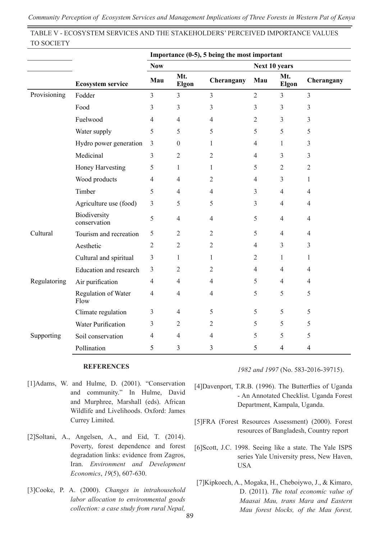*Community Perception of Ecosystem Services and Management Implications of Three Forests in Western Pat of Kenya* 

TABLE V - ECOSYSTEM SERVICES AND THE STAKEHOLDERS' PERCEIVED IMPORTANCE VALUES TO SOCIETY

|              |                              | Importance (0-5), 5 being the most important |                |                |                |                |                |  |
|--------------|------------------------------|----------------------------------------------|----------------|----------------|----------------|----------------|----------------|--|
|              |                              | <b>Now</b>                                   |                |                |                | Next 10 years  |                |  |
|              | <b>Ecosystem service</b>     | Mau                                          | Mt.<br>Elgon   | Cherangany     | Mau            | Mt.<br>Elgon   | Cherangany     |  |
| Provisioning | Fodder                       | 3                                            | 3              | 3              | $\mathfrak{2}$ | 3              | $\overline{3}$ |  |
|              | Food                         | 3                                            | 3              | 3              | 3              | 3              | 3              |  |
|              | Fuelwood                     | 4                                            | $\overline{4}$ | 4              | 2              | 3              | 3              |  |
|              | Water supply                 | 5                                            | 5              | 5              | 5              | 5              | 5              |  |
|              | Hydro power generation       | 3                                            | $\theta$       | 1              | $\overline{4}$ | 1              | 3              |  |
|              | Medicinal                    | 3                                            | $\overline{c}$ | $\overline{c}$ | 4              | 3              | 3              |  |
|              | Honey Harvesting             | 5                                            | 1              | 1              | 5              | $\overline{2}$ | 2              |  |
|              | Wood products                | 4                                            | $\overline{4}$ | $\overline{2}$ | $\overline{4}$ | 3              | 1              |  |
|              | Timber                       | 5                                            | $\overline{4}$ | $\overline{4}$ | 3              | $\overline{4}$ | $\overline{4}$ |  |
|              | Agriculture use (food)       | 3                                            | 5              | 5              | 3              | 4              | $\overline{4}$ |  |
|              | Biodiversity<br>conservation | 5                                            | $\overline{4}$ | 4              | 5              | $\overline{4}$ | $\overline{4}$ |  |
| Cultural     | Tourism and recreation       | 5                                            | 2              | 2              | 5              | 4              | $\overline{4}$ |  |
|              | Aesthetic                    | $\overline{2}$                               | $\overline{2}$ | $\overline{c}$ | 4              | 3              | 3              |  |
|              | Cultural and spiritual       | 3                                            | 1              | 1              | 2              | 1              | 1              |  |
|              | Education and research       | 3                                            | 2              | $\overline{2}$ | $\overline{4}$ | $\overline{4}$ | $\overline{4}$ |  |
| Regulatoring | Air purification             | 4                                            | 4              | 4              | 5              | 4              | 4              |  |
|              | Regulation of Water<br>Flow  | $\overline{4}$                               | $\overline{4}$ | 4              | 5              | 5              | 5              |  |
|              | Climate regulation           | 3                                            | $\overline{4}$ | 5              | 5              | 5              | 5              |  |
|              | Water Purification           | 3                                            | $\overline{2}$ | 2              | 5              | 5              | 5              |  |
| Supporting   | Soil conservation            | 4                                            | $\overline{4}$ | 4              | 5              | 5              | 5              |  |
|              | Pollination                  | 5                                            | 3              | 3              | 5              | 4              | $\overline{4}$ |  |

#### **REFERENCES**

- [1]Adams, W. and Hulme, D. (2001). "Conservation and community." In Hulme, David and Murphree, Marshall (eds). African Wildlife and Livelihoods. Oxford: James Currey Limited.
- [2]Soltani, A., Angelsen, A., and Eid, T. (2014). Poverty, forest dependence and forest degradation links: evidence from Zagros, Iran. *Environment and Development Economics*, *19*(5), 607-630.
- [3]Cooke, P. A. (2000). *Changes in intrahousehold labor allocation to environmental goods collection: a case study from rural Nepal,*

*1982 and 1997* (No. 583-2016-39715).

- [4]Davenport, T.R.B. (1996). The Butterflies of Uganda - An Annotated Checklist. Uganda Forest Department, Kampala, Uganda.
- [5]FRA (Forest Resources Assessment) (2000). Forest resources of Bangladesh, Country report
- [6]Scott, J.C. 1998. Seeing like a state. The Yale ISPS series Yale University press, New Haven, USA
- [7]Kipkoech, A., Mogaka, H., Cheboiywo, J., & Kimaro, D. (2011). *The total economic value of Maasai Mau, trans Mara and Eastern Mau forest blocks, of the Mau forest,*